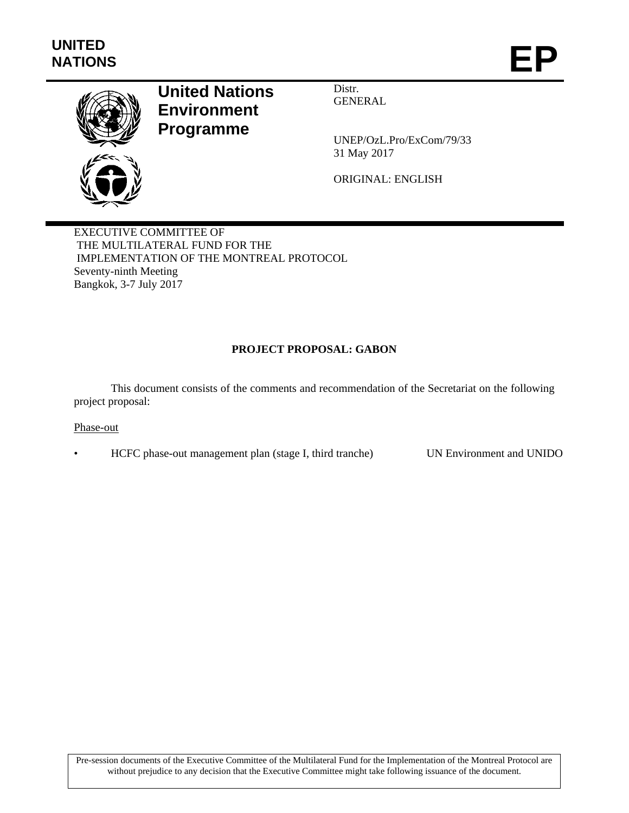

# **United Nations Environment Programme**

Distr. GENERAL

UNEP/OzL.Pro/ExCom/79/33 31 May 2017

ORIGINAL: ENGLISH

EXECUTIVE COMMITTEE OF THE MULTILATERAL FUND FOR THE IMPLEMENTATION OF THE MONTREAL PROTOCOL Seventy-ninth Meeting Bangkok, 3-7 July 2017

## **PROJECT PROPOSAL: GABON**

This document consists of the comments and recommendation of the Secretariat on the following project proposal:

#### Phase-out

• HCFC phase-out management plan (stage I, third tranche) UN Environment and UNIDO

Pre-session documents of the Executive Committee of the Multilateral Fund for the Implementation of the Montreal Protocol are without prejudice to any decision that the Executive Committee might take following issuance of the document.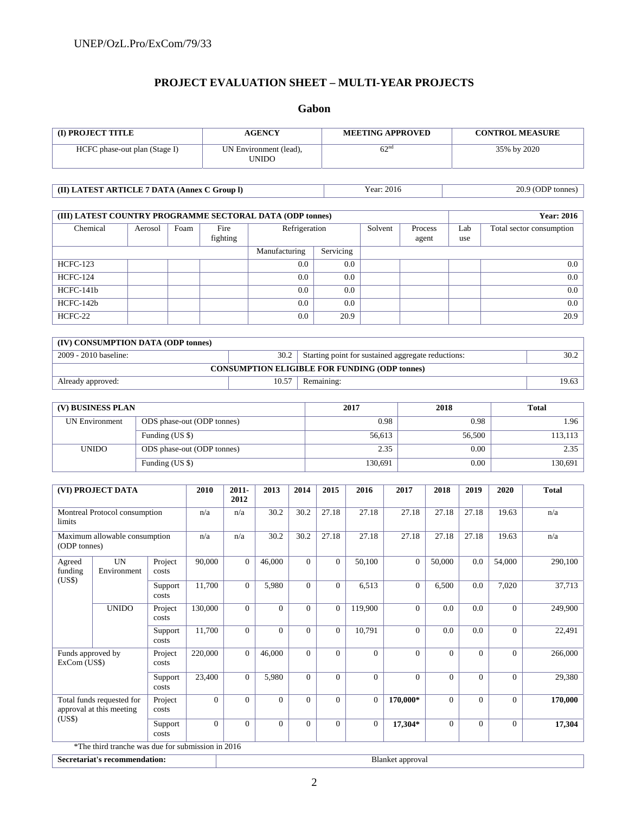## **PROJECT EVALUATION SHEET – MULTI-YEAR PROJECTS**

## **Gabon**

| <b>(I) PROJECT TITLE</b>      | <b>AGENCY</b>                   | <b>MEETING APPROVED</b> | <b>CONTROL MEASURE</b> |
|-------------------------------|---------------------------------|-------------------------|------------------------|
| HCFC phase-out plan (Stage I) | UN Environment (lead),<br>UNIDO | 62 <sup>nd</sup>        | 35% by 2020            |

| (II) LATEST ARTICLE 7 DATA (Annex C Group I) | Year: 2016 | 20.9 (ODP tonnes) |
|----------------------------------------------|------------|-------------------|

| (III) LATEST COUNTRY PROGRAMME SECTORAL DATA (ODP tonnes) |         |      |                  |               |           |         |                  | <b>Year: 2016</b> |                          |
|-----------------------------------------------------------|---------|------|------------------|---------------|-----------|---------|------------------|-------------------|--------------------------|
| Chemical                                                  | Aerosol | Foam | Fire<br>fighting | Refrigeration |           | Solvent | Process<br>agent | Lab<br>use        | Total sector consumption |
|                                                           |         |      |                  | Manufacturing | Servicing |         |                  |                   |                          |
| <b>HCFC-123</b>                                           |         |      |                  | 0.0           | 0.0       |         |                  |                   | 0.0                      |
| <b>HCFC-124</b>                                           |         |      |                  | 0.0           | 0.0       |         |                  |                   | 0.0                      |
| HCFC-141b                                                 |         |      |                  | 0.0           | 0.0       |         |                  |                   | 0.0                      |
| $HCFC-142b$                                               |         |      |                  | 0.0           | 0.0       |         |                  |                   | 0.0                      |
| HCFC-22                                                   |         |      |                  | 0.0           | 20.9      |         |                  |                   | 20.9                     |

| (IV) CONSUMPTION DATA (ODP tonnes)                   |       |                                                    |       |  |  |  |
|------------------------------------------------------|-------|----------------------------------------------------|-------|--|--|--|
| 2009 - 2010 baseline:                                | 30.2  | Starting point for sustained aggregate reductions: | 30.2  |  |  |  |
| <b>CONSUMPTION ELIGIBLE FOR FUNDING (ODP tonnes)</b> |       |                                                    |       |  |  |  |
| Already approved:                                    | 10.57 | Remaining:                                         | 19.63 |  |  |  |

| (V) BUSINESS PLAN     |                            | 2017    | 2018   | <b>Total</b> |
|-----------------------|----------------------------|---------|--------|--------------|
| <b>UN Environment</b> | ODS phase-out (ODP tonnes) | 0.98    | 0.98   | 1.96         |
|                       | Funding (US \$)            | 56,613  | 56,500 | 113,113      |
| <b>UNIDO</b>          | ODS phase-out (ODP tonnes) | 2.35    | 0.00   | 2.35         |
|                       | Funding (US \$)            | 130,691 | 0.00   | 130,691      |

|                                   | (VI) PROJECT DATA                                     |                  | 2010     | 2011-<br>2012 | 2013           | 2014     | 2015           | 2016           | 2017           | 2018           | 2019         | 2020     | <b>Total</b> |
|-----------------------------------|-------------------------------------------------------|------------------|----------|---------------|----------------|----------|----------------|----------------|----------------|----------------|--------------|----------|--------------|
| limits                            | Montreal Protocol consumption                         |                  | n/a      | n/a           | 30.2           | 30.2     | 27.18          | 27.18          | 27.18          | 27.18          | 27.18        | 19.63    | n/a          |
| (ODP tonnes)                      | Maximum allowable consumption                         |                  | n/a      | n/a           | 30.2           | 30.2     | 27.18          | 27.18          | 27.18          | 27.18          | 27.18        | 19.63    | n/a          |
| Agreed<br>funding<br>(US\$)       | <b>UN</b><br>Environment                              | Project<br>costs | 90,000   | $\Omega$      | 46,000         | $\Omega$ | $\overline{0}$ | 50,100         | $\overline{0}$ | 50,000         | 0.0          | 54,000   | 290,100      |
|                                   |                                                       | Support<br>costs | 11,700   | $\Omega$      | 5,980          | $\Omega$ | $\overline{0}$ | 6,513          | $\Omega$       | 6,500          | 0.0          | 7,020    | 37,713       |
|                                   | <b>UNIDO</b>                                          | Project<br>costs | 130,000  | $\Omega$      | $\Omega$       | $\Omega$ | $\overline{0}$ | 119,900        | $\Omega$       | 0.0            | 0.0          | $\Omega$ | 249,900      |
|                                   |                                                       | Support<br>costs | 11,700   | $\Omega$      | $\Omega$       | $\Omega$ | $\overline{0}$ | 10,791         | $\Omega$       | 0.0            | 0.0          | $\Omega$ | 22,491       |
| Funds approved by<br>ExCom (US\$) |                                                       | Project<br>costs | 220,000  | $\mathbf{0}$  | 46,000         | $\Omega$ | $\overline{0}$ | $\Omega$       | $\Omega$       | $\Omega$       | $\Omega$     | $\Omega$ | 266,000      |
|                                   |                                                       | Support<br>costs | 23,400   | $\Omega$      | 5,980          | $\Omega$ | $\overline{0}$ | $\Omega$       | $\Omega$       | $\Omega$       | $\Omega$     | $\Omega$ | 29,380       |
|                                   | Total funds requested for<br>approval at this meeting | Project<br>costs | $\Omega$ | $\theta$      | $\overline{0}$ | $\Omega$ | $\overline{0}$ | $\overline{0}$ | 170,000*       | $\overline{0}$ | $\mathbf{0}$ | $\Omega$ | 170,000      |
| (US\$)                            |                                                       | Support<br>costs | $\Omega$ | $\Omega$      | $\Omega$       | $\Omega$ | $\overline{0}$ | $\Omega$       | 17,304*        | $\overline{0}$ | $\mathbf{0}$ | $\Omega$ | 17,304       |
|                                   | *The third tranche was due for submission in 2016     |                  |          |               |                |          |                |                |                |                |              |          |              |

**Secretariat's recommendation:** Blanket approval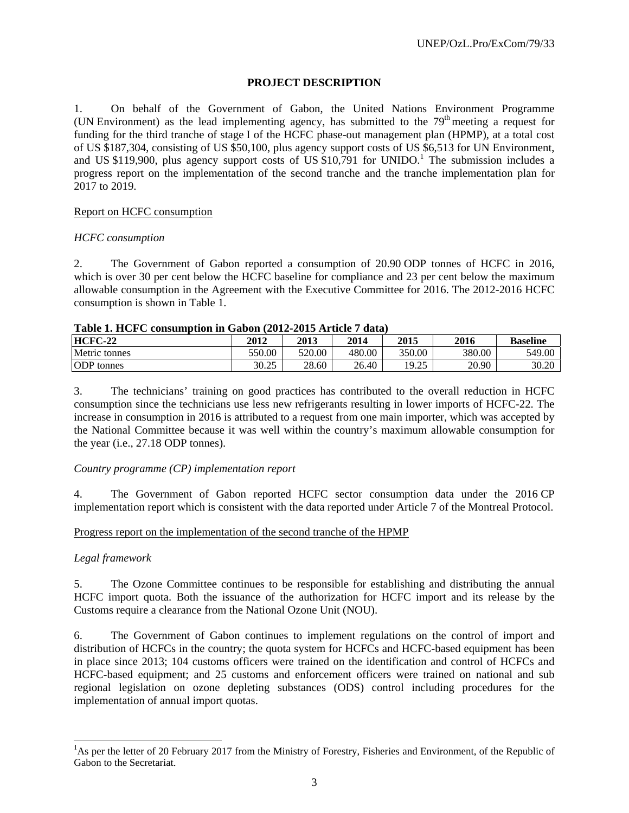#### **PROJECT DESCRIPTION**

1. On behalf of the Government of Gabon, the United Nations Environment Programme (UN Environment) as the lead implementing agency, has submitted to the  $79<sup>th</sup>$  meeting a request for funding for the third tranche of stage I of the HCFC phase-out management plan (HPMP), at a total cost of US \$187,304, consisting of US \$50,100, plus agency support costs of US \$6,513 for UN Environment, and US \$119,900, plus agency support costs of US  $$10,791$  for UNIDO.<sup>1</sup> The submission includes a progress report on the implementation of the second tranche and the tranche implementation plan for 2017 to 2019.

#### Report on HCFC consumption

#### *HCFC consumption*

2. The Government of Gabon reported a consumption of 20.90 ODP tonnes of HCFC in 2016, which is over 30 per cent below the HCFC baseline for compliance and 23 per cent below the maximum allowable consumption in the Agreement with the Executive Committee for 2016. The 2012-2016 HCFC consumption is shown in Table 1.

| Table 1. HCFC consumption in Gabon (2012-2015 AFTICle 7) |        |        | -uata) |        |        |                 |
|----------------------------------------------------------|--------|--------|--------|--------|--------|-----------------|
| HCFC-22                                                  | 2012   | 2013   | 2014   | 2015   | 2016   | <b>Baseline</b> |
| Metric tonnes                                            | 550.00 | 520.00 | 480.00 | 350.00 | 380.00 | 549.00          |
| <b>ODP</b> tonnes                                        | 30.25  | 28.60  | 26.40  | 19.25  | 20.90  | 30.20           |

# **Table 1. HCFC consumption in Gabon (2012-2015 Article 7 data)**

3. The technicians' training on good practices has contributed to the overall reduction in HCFC consumption since the technicians use less new refrigerants resulting in lower imports of HCFC-22. The increase in consumption in 2016 is attributed to a request from one main importer, which was accepted by the National Committee because it was well within the country's maximum allowable consumption for the year (i.e., 27.18 ODP tonnes).

#### *Country programme (CP) implementation report*

4. The Government of Gabon reported HCFC sector consumption data under the 2016 CP implementation report which is consistent with the data reported under Article 7 of the Montreal Protocol.

#### Progress report on the implementation of the second tranche of the HPMP

#### *Legal framework*

l

5. The Ozone Committee continues to be responsible for establishing and distributing the annual HCFC import quota. Both the issuance of the authorization for HCFC import and its release by the Customs require a clearance from the National Ozone Unit (NOU).

6. The Government of Gabon continues to implement regulations on the control of import and distribution of HCFCs in the country; the quota system for HCFCs and HCFC-based equipment has been in place since 2013; 104 customs officers were trained on the identification and control of HCFCs and HCFC-based equipment; and 25 customs and enforcement officers were trained on national and sub regional legislation on ozone depleting substances (ODS) control including procedures for the implementation of annual import quotas.

<sup>&</sup>lt;sup>1</sup>As per the letter of 20 February 2017 from the Ministry of Forestry, Fisheries and Environment, of the Republic of Gabon to the Secretariat.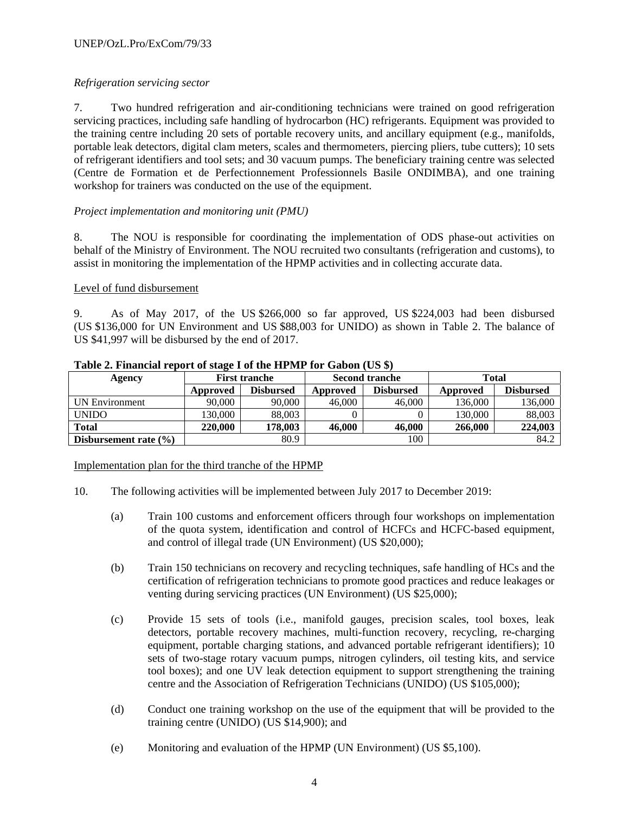## *Refrigeration servicing sector*

7. Two hundred refrigeration and air-conditioning technicians were trained on good refrigeration servicing practices, including safe handling of hydrocarbon (HC) refrigerants. Equipment was provided to the training centre including 20 sets of portable recovery units, and ancillary equipment (e.g., manifolds, portable leak detectors, digital clam meters, scales and thermometers, piercing pliers, tube cutters); 10 sets of refrigerant identifiers and tool sets; and 30 vacuum pumps. The beneficiary training centre was selected (Centre de Formation et de Perfectionnement Professionnels Basile ONDIMBA), and one training workshop for trainers was conducted on the use of the equipment.

## *Project implementation and monitoring unit (PMU)*

8. The NOU is responsible for coordinating the implementation of ODS phase-out activities on behalf of the Ministry of Environment. The NOU recruited two consultants (refrigeration and customs), to assist in monitoring the implementation of the HPMP activities and in collecting accurate data.

#### Level of fund disbursement

9. As of May 2017, of the US \$266,000 so far approved, US \$224,003 had been disbursed (US \$136,000 for UN Environment and US \$88,003 for UNIDO) as shown in Table 2. The balance of US \$41,997 will be disbursed by the end of 2017.

| Agency                    |          | <b>First tranche</b> |          | <b>Second tranche</b> | <b>Total</b> |                  |  |
|---------------------------|----------|----------------------|----------|-----------------------|--------------|------------------|--|
|                           | Approved | <b>Disbursed</b>     | Approved | <b>Disbursed</b>      | Approved     | <b>Disbursed</b> |  |
| UN Environment            | 90,000   | 90,000               | 46,000   | 46,000                | 136,000      | 136,000          |  |
| <b>UNIDO</b>              | 130.000  | 88,003               |          |                       | 130,000      | 88,003           |  |
| <b>Total</b>              | 220,000  | 178.003              | 46,000   | 46,000                | 266,000      | 224,003          |  |
| Disbursement rate $(\% )$ |          | 80.9                 |          | 100                   |              | 84.2             |  |

#### **Table 2. Financial report of stage I of the HPMP for Gabon (US \$)**

#### Implementation plan for the third tranche of the HPMP

- 10. The following activities will be implemented between July 2017 to December 2019:
	- (a) Train 100 customs and enforcement officers through four workshops on implementation of the quota system, identification and control of HCFCs and HCFC-based equipment, and control of illegal trade (UN Environment) (US \$20,000);
	- (b) Train 150 technicians on recovery and recycling techniques, safe handling of HCs and the certification of refrigeration technicians to promote good practices and reduce leakages or venting during servicing practices (UN Environment) (US \$25,000);
	- (c) Provide 15 sets of tools (i.e., manifold gauges, precision scales, tool boxes, leak detectors, portable recovery machines, multi-function recovery, recycling, re-charging equipment, portable charging stations, and advanced portable refrigerant identifiers); 10 sets of two-stage rotary vacuum pumps, nitrogen cylinders, oil testing kits, and service tool boxes); and one UV leak detection equipment to support strengthening the training centre and the Association of Refrigeration Technicians (UNIDO) (US \$105,000);
	- (d) Conduct one training workshop on the use of the equipment that will be provided to the training centre (UNIDO) (US \$14,900); and
	- (e) Monitoring and evaluation of the HPMP (UN Environment) (US \$5,100).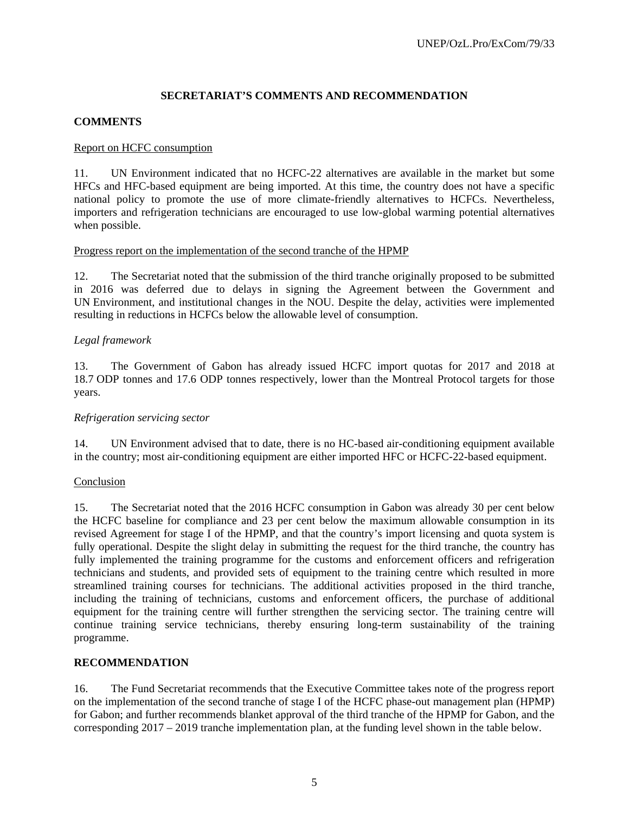## **SECRETARIAT'S COMMENTS AND RECOMMENDATION**

## **COMMENTS**

### Report on HCFC consumption

11. UN Environment indicated that no HCFC-22 alternatives are available in the market but some HFCs and HFC-based equipment are being imported. At this time, the country does not have a specific national policy to promote the use of more climate-friendly alternatives to HCFCs. Nevertheless, importers and refrigeration technicians are encouraged to use low-global warming potential alternatives when possible.

#### Progress report on the implementation of the second tranche of the HPMP

12. The Secretariat noted that the submission of the third tranche originally proposed to be submitted in 2016 was deferred due to delays in signing the Agreement between the Government and UN Environment, and institutional changes in the NOU. Despite the delay, activities were implemented resulting in reductions in HCFCs below the allowable level of consumption.

#### *Legal framework*

13. The Government of Gabon has already issued HCFC import quotas for 2017 and 2018 at 18.7 ODP tonnes and 17.6 ODP tonnes respectively, lower than the Montreal Protocol targets for those years.

#### *Refrigeration servicing sector*

14. UN Environment advised that to date, there is no HC-based air-conditioning equipment available in the country; most air-conditioning equipment are either imported HFC or HCFC-22-based equipment.

#### Conclusion

15. The Secretariat noted that the 2016 HCFC consumption in Gabon was already 30 per cent below the HCFC baseline for compliance and 23 per cent below the maximum allowable consumption in its revised Agreement for stage I of the HPMP, and that the country's import licensing and quota system is fully operational. Despite the slight delay in submitting the request for the third tranche, the country has fully implemented the training programme for the customs and enforcement officers and refrigeration technicians and students, and provided sets of equipment to the training centre which resulted in more streamlined training courses for technicians. The additional activities proposed in the third tranche, including the training of technicians, customs and enforcement officers, the purchase of additional equipment for the training centre will further strengthen the servicing sector. The training centre will continue training service technicians, thereby ensuring long-term sustainability of the training programme.

#### **RECOMMENDATION**

16. The Fund Secretariat recommends that the Executive Committee takes note of the progress report on the implementation of the second tranche of stage I of the HCFC phase-out management plan (HPMP) for Gabon; and further recommends blanket approval of the third tranche of the HPMP for Gabon, and the corresponding 2017 – 2019 tranche implementation plan, at the funding level shown in the table below.